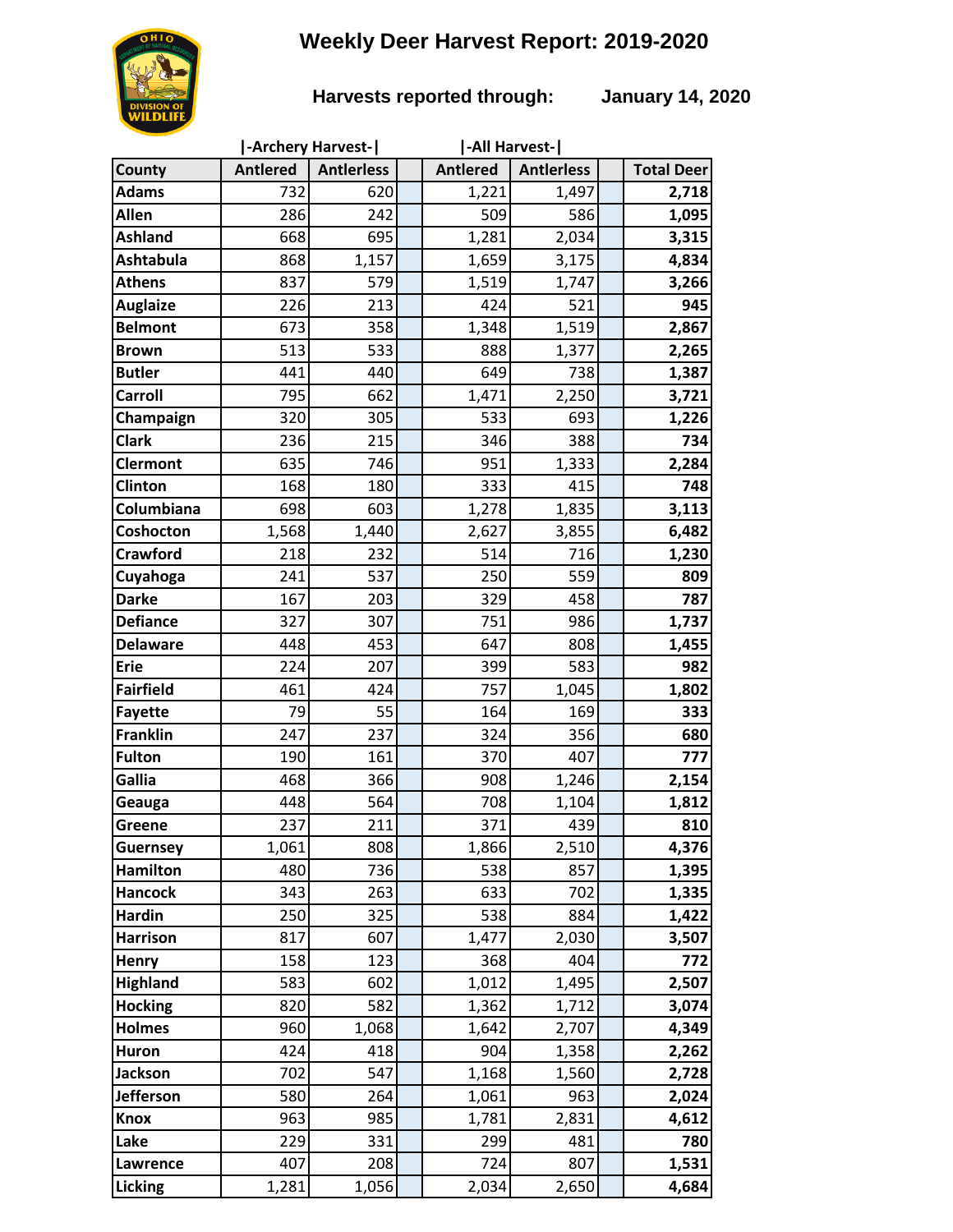# **Weekly Deer Harvest Report: 2019-2020**



### **Harvests reported through: January 14, 2020**

|                  | -Archery Harvest- |                   |  | -All Harvest-   |                   |  |                   |
|------------------|-------------------|-------------------|--|-----------------|-------------------|--|-------------------|
| County           | <b>Antlered</b>   | <b>Antierless</b> |  | <b>Antlered</b> | <b>Antlerless</b> |  | <b>Total Deer</b> |
| <b>Adams</b>     | 732               | 620               |  | 1,221           | 1,497             |  | 2,718             |
| Allen            | 286               | 242               |  | 509             | 586               |  | 1,095             |
| <b>Ashland</b>   | 668               | 695               |  | 1,281           | 2,034             |  | 3,315             |
| <b>Ashtabula</b> | 868               | 1,157             |  | 1,659           | 3,175             |  | 4,834             |
| <b>Athens</b>    | 837               | 579               |  | 1,519           | 1,747             |  | 3,266             |
| <b>Auglaize</b>  | 226               | 213               |  | 424             | 521               |  | 945               |
| <b>Belmont</b>   | 673               | 358               |  | 1,348           | 1,519             |  | 2,867             |
| <b>Brown</b>     | 513               | 533               |  | 888             | 1,377             |  | 2,265             |
| <b>Butler</b>    | 441               | 440               |  | 649             | 738               |  | 1,387             |
| <b>Carroll</b>   | 795               | 662               |  | 1,471           | 2,250             |  | 3,721             |
| Champaign        | 320               | 305               |  | 533             | 693               |  | 1,226             |
| <b>Clark</b>     | 236               | 215               |  | 346             | 388               |  | 734               |
| <b>Clermont</b>  | 635               | 746               |  | 951             | 1,333             |  | 2,284             |
| Clinton          | 168               | 180               |  | 333             | 415               |  | 748               |
| Columbiana       | 698               | 603               |  | 1,278           | 1,835             |  | 3,113             |
| Coshocton        | 1,568             | 1,440             |  | 2,627           | 3,855             |  | 6,482             |
| <b>Crawford</b>  | 218               | 232               |  | 514             | 716               |  | 1,230             |
| Cuyahoga         | 241               | 537               |  | 250             | 559               |  | 809               |
| <b>Darke</b>     | 167               | 203               |  | 329             | 458               |  | 787               |
| <b>Defiance</b>  | 327               | 307               |  | 751             | 986               |  | 1,737             |
| <b>Delaware</b>  | 448               | 453               |  | 647             | 808               |  | 1,455             |
| <b>Erie</b>      | 224               | 207               |  | 399             | 583               |  | 982               |
| <b>Fairfield</b> | 461               | 424               |  | 757             | 1,045             |  | 1,802             |
| <b>Fayette</b>   | 79                | 55                |  | 164             | 169               |  | 333               |
| <b>Franklin</b>  | 247               | 237               |  | 324             | 356               |  | 680               |
| <b>Fulton</b>    | 190               | 161               |  | 370             | 407               |  | 777               |
| Gallia           | 468               | 366               |  | 908             | 1,246             |  | 2,154             |
| Geauga           | 448               | 564               |  | 708             | 1,104             |  | 1,812             |
| Greene           | 237               | 211               |  | 371             | 439               |  | 810               |
| <b>Guernsey</b>  | 1,061             | 808               |  | 1,866           | 2,510             |  | 4,376             |
| <b>Hamilton</b>  | 480               | 736               |  | 538             | 857               |  | 1,395             |
| <b>Hancock</b>   | 343               | 263               |  | 633             | 702               |  | 1,335             |
| <b>Hardin</b>    | 250               | 325               |  | 538             | 884               |  | 1,422             |
| <b>Harrison</b>  | 817               | 607               |  | 1,477           | 2,030             |  | 3,507             |
| <b>Henry</b>     | 158               | 123               |  | 368             | 404               |  | 772               |
| <b>Highland</b>  | 583               | 602               |  | 1,012           | 1,495             |  | 2,507             |
| <b>Hocking</b>   | 820               | 582               |  | 1,362           | 1,712             |  | 3,074             |
| <b>Holmes</b>    | 960               | 1,068             |  | 1,642           | 2,707             |  | 4,349             |
| <b>Huron</b>     | 424               | 418               |  | 904             | 1,358             |  | 2,262             |
| <b>Jackson</b>   | 702               | 547               |  | 1,168           | 1,560             |  | 2,728             |
| <b>Jefferson</b> | 580               | 264               |  | 1,061           | 963               |  | 2,024             |
| <b>Knox</b>      | 963               | 985               |  | 1,781           | 2,831             |  | 4,612             |
| Lake             | 229               | 331               |  | 299             | 481               |  | 780               |
| Lawrence         | 407               | 208               |  | 724             | 807               |  | 1,531             |
| Licking          | 1,281             | 1,056             |  | 2,034           | 2,650             |  | 4,684             |